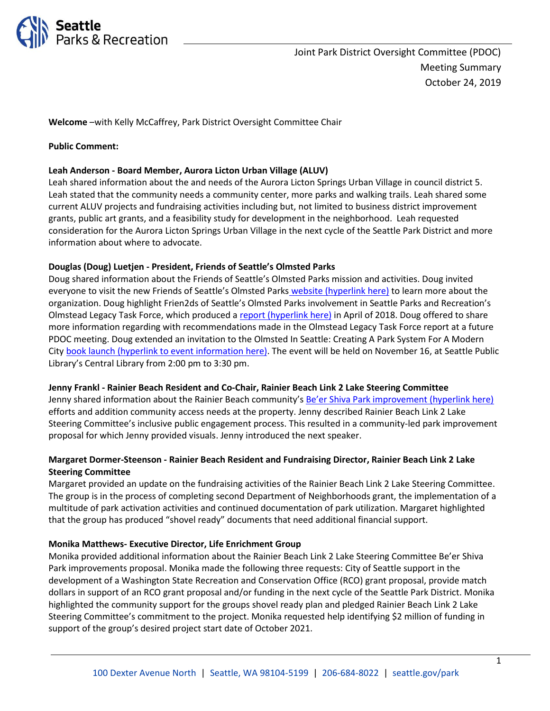

**Welcome** –with Kelly McCaffrey, Park District Oversight Committee Chair

### **Public Comment:**

### **Leah Anderson - Board Member, Aurora Licton Urban Village (ALUV)**

Leah shared information about the and needs of the Aurora Licton Springs Urban Village in council district 5. Leah stated that the community needs a community center, more parks and walking trails. Leah shared some current ALUV projects and fundraising activities including but, not limited to business district improvement grants, public art grants, and a feasibility study for development in the neighborhood. Leah requested consideration for the Aurora Licton Springs Urban Village in the next cycle of the Seattle Park District and more information about where to advocate.

### **Douglas (Doug) Luetjen - President, Friends of Seattle's Olmsted Parks**

Doug shared information about the Friends of Seattle's Olmsted Parks mission and activities. Doug invited everyone to visit the new Friends of Seattle's Olmsted Parks [website \(hyperlink here\)](https://seattleolmsted.org/) to learn more about the organization. Doug highlight Frien2ds of Seattle's Olmsted Parks involvement in Seattle Parks and Recreation's Olmstead Legacy Task Force, which produced a [report \(hyperlink here\)](https://www.seattle.gov/Documents/Departments/ParksAndRecreation/OlmstedTaskforce/Olmsted_Legacy_Task_Force_Final_Report.pdf) in April of 2018. Doug offered to share more information regarding with recommendations made in the Olmstead Legacy Task Force report at a future PDOC meeting. Doug extended an invitation to the Olmsted In Seattle: Creating A Park System For A Modern Cit[y book launch \(hyperlink to event information here\).](https://www.spl.org/hours-and-locations/central-library/central-library-events?trumbaEmbed=date%3D20191116#/?i=1) The event will be held on November 16, at Seattle Public Library's Central Library from 2:00 pm to 3:30 pm.

#### **Jenny Frankl - Rainier Beach Resident and Co-Chair, Rainier Beach Link 2 Lake Steering Committee**

Jenny shared information about the Rainier Beach community'[s Be'er Shiva Park improvement \(hyperlink here\)](https://www.seattle.gov/parks/about-us/current-projects/beer-sheva-park-improvements) efforts and addition community access needs at the property. Jenny described Rainier Beach Link 2 Lake Steering Committee's inclusive public engagement process. This resulted in a community-led park improvement proposal for which Jenny provided visuals. Jenny introduced the next speaker.

# **Margaret Dormer-Steenson - Rainier Beach Resident and Fundraising Director, Rainier Beach Link 2 Lake Steering Committee**

Margaret provided an update on the fundraising activities of the Rainier Beach Link 2 Lake Steering Committee. The group is in the process of completing second Department of Neighborhoods grant, the implementation of a multitude of park activation activities and continued documentation of park utilization. Margaret highlighted that the group has produced "shovel ready" documents that need additional financial support.

#### **Monika Matthews- Executive Director, Life Enrichment Group**

Monika provided additional information about the Rainier Beach Link 2 Lake Steering Committee Be'er Shiva Park improvements proposal. Monika made the following three requests: City of Seattle support in the development of a Washington State Recreation and Conservation Office (RCO) grant proposal, provide match dollars in support of an RCO grant proposal and/or funding in the next cycle of the Seattle Park District. Monika highlighted the community support for the groups shovel ready plan and pledged Rainier Beach Link 2 Lake Steering Committee's commitment to the project. Monika requested help identifying \$2 million of funding in support of the group's desired project start date of October 2021.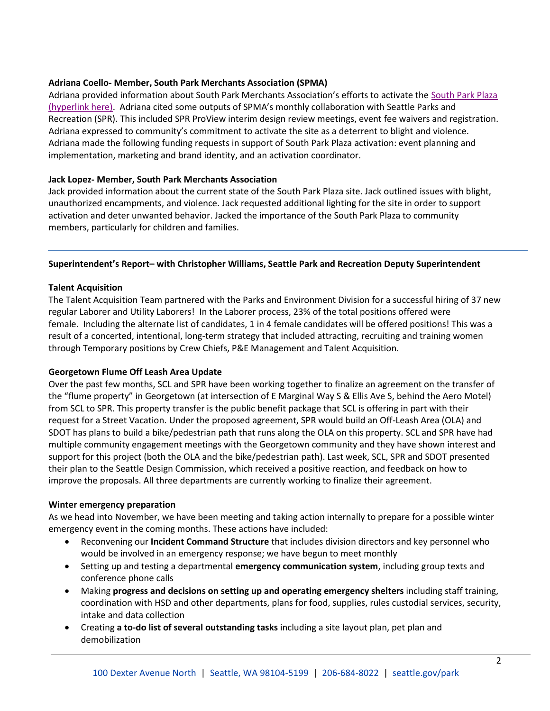# **Adriana Coello- Member, South Park Merchants Association (SPMA)**

Adriana provided information about South Park Merchants Association's efforts to activate the [South Park Plaza](https://www.seattle.gov/parks/about-us/current-projects/south-park-plaza-landbanked-site-park-development)  [\(hyperlink here\)](https://www.seattle.gov/parks/about-us/current-projects/south-park-plaza-landbanked-site-park-development). Adriana cited some outputs of SPMA's monthly collaboration with Seattle Parks and Recreation (SPR). This included SPR ProView interim design review meetings, event fee waivers and registration. Adriana expressed to community's commitment to activate the site as a deterrent to blight and violence. Adriana made the following funding requests in support of South Park Plaza activation: event planning and implementation, marketing and brand identity, and an activation coordinator.

# **Jack Lopez- Member, South Park Merchants Association**

Jack provided information about the current state of the South Park Plaza site. Jack outlined issues with blight, unauthorized encampments, and violence. Jack requested additional lighting for the site in order to support activation and deter unwanted behavior. Jacked the importance of the South Park Plaza to community members, particularly for children and families.

# **Superintendent's Report– with Christopher Williams, Seattle Park and Recreation Deputy Superintendent**

# **Talent Acquisition**

The Talent Acquisition Team partnered with the Parks and Environment Division for a successful hiring of 37 new regular Laborer and Utility Laborers! In the Laborer process, 23% of the total positions offered were female. Including the alternate list of candidates, 1 in 4 female candidates will be offered positions! This was a result of a concerted, intentional, long-term strategy that included attracting, recruiting and training women through Temporary positions by Crew Chiefs, P&E Management and Talent Acquisition.

# **Georgetown Flume Off Leash Area Update**

Over the past few months, SCL and SPR have been working together to finalize an agreement on the transfer of the "flume property" in Georgetown (at intersection of E Marginal Way S & Ellis Ave S, behind the Aero Motel) from SCL to SPR. This property transfer is the public benefit package that SCL is offering in part with their request for a Street Vacation. Under the proposed agreement, SPR would build an Off-Leash Area (OLA) and SDOT has plans to build a bike/pedestrian path that runs along the OLA on this property. SCL and SPR have had multiple community engagement meetings with the Georgetown community and they have shown interest and support for this project (both the OLA and the bike/pedestrian path). Last week, SCL, SPR and SDOT presented their plan to the Seattle Design Commission, which received a positive reaction, and feedback on how to improve the proposals. All three departments are currently working to finalize their agreement.

#### **Winter emergency preparation**

As we head into November, we have been meeting and taking action internally to prepare for a possible winter emergency event in the coming months. These actions have included:

- Reconvening our **Incident Command Structure** that includes division directors and key personnel who would be involved in an emergency response; we have begun to meet monthly
- Setting up and testing a departmental **emergency communication system**, including group texts and conference phone calls
- Making **progress and decisions on setting up and operating emergency shelters** including staff training, coordination with HSD and other departments, plans for food, supplies, rules custodial services, security, intake and data collection
- Creating **a to-do list of several outstanding tasks** including a site layout plan, pet plan and demobilization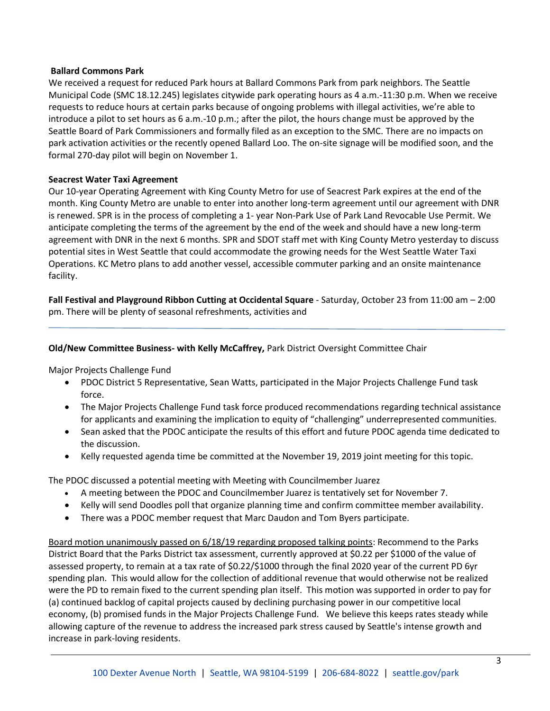### **Ballard Commons Park**

We received a request for reduced Park hours at Ballard Commons Park from park neighbors. The Seattle Municipal Code (SMC 18.12.245) legislates citywide park operating hours as 4 a.m.-11:30 p.m. When we receive requests to reduce hours at certain parks because of ongoing problems with illegal activities, we're able to introduce a pilot to set hours as 6 a.m.-10 p.m.; after the pilot, the hours change must be approved by the Seattle Board of Park Commissioners and formally filed as an exception to the SMC. There are no impacts on park activation activities or the recently opened Ballard Loo. The on-site signage will be modified soon, and the formal 270-day pilot will begin on November 1.

#### **Seacrest Water Taxi Agreement**

Our 10-year Operating Agreement with King County Metro for use of Seacrest Park expires at the end of the month. King County Metro are unable to enter into another long-term agreement until our agreement with DNR is renewed. SPR is in the process of completing a 1- year Non-Park Use of Park Land Revocable Use Permit. We anticipate completing the terms of the agreement by the end of the week and should have a new long-term agreement with DNR in the next 6 months. SPR and SDOT staff met with King County Metro yesterday to discuss potential sites in West Seattle that could accommodate the growing needs for the West Seattle Water Taxi Operations. KC Metro plans to add another vessel, accessible commuter parking and an onsite maintenance facility.

**Fall Festival and Playground Ribbon Cutting at Occidental Square** - Saturday, October 23 from 11:00 am – 2:00 pm. There will be plenty of seasonal refreshments, activities and

### **Old/New Committee Business- with Kelly McCaffrey,** Park District Oversight Committee Chair

Major Projects Challenge Fund

- PDOC District 5 Representative, Sean Watts, participated in the Major Projects Challenge Fund task force.
- The Major Projects Challenge Fund task force produced recommendations regarding technical assistance for applicants and examining the implication to equity of "challenging" underrepresented communities.
- Sean asked that the PDOC anticipate the results of this effort and future PDOC agenda time dedicated to the discussion.
- Kelly requested agenda time be committed at the November 19, 2019 joint meeting for this topic.

The PDOC discussed a potential meeting with Meeting with Councilmember Juarez

- A meeting between the PDOC and Councilmember Juarez is tentatively set for November 7.
- Kelly will send Doodles poll that organize planning time and confirm committee member availability.
- There was a PDOC member request that Marc Daudon and Tom Byers participate.

Board motion unanimously passed on 6/18/19 regarding proposed talking points: Recommend to the Parks District Board that the Parks District tax assessment, currently approved at \$0.22 per \$1000 of the value of assessed property, to remain at a tax rate of \$0.22/\$1000 through the final 2020 year of the current PD 6yr spending plan. This would allow for the collection of additional revenue that would otherwise not be realized were the PD to remain fixed to the current spending plan itself. This motion was supported in order to pay for (a) continued backlog of capital projects caused by declining purchasing power in our competitive local economy, (b) promised funds in the Major Projects Challenge Fund. We believe this keeps rates steady while allowing capture of the revenue to address the increased park stress caused by Seattle's intense growth and increase in park-loving residents.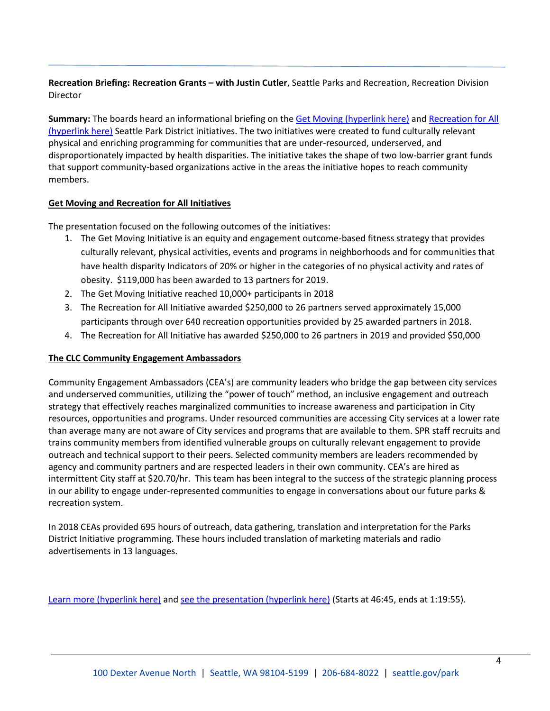# **Recreation Briefing: Recreation Grants – with Justin Cutler**, Seattle Parks and Recreation, Recreation Division Director

**Summary:** The boards heard an informational briefing on th[e Get Moving \(hyperlink here\)](https://www.seattle.gov/parks/about-us/special-initiatives-and-programs/get-moving-initiative) an[d Recreation for All](https://www.seattle.gov/parks/about-us/special-initiatives-and-programs/recreation-for-all)  [\(hyperlink here\)](https://www.seattle.gov/parks/about-us/special-initiatives-and-programs/recreation-for-all) Seattle Park District initiatives. The two initiatives were created to fund culturally relevant physical and enriching programming for communities that are under-resourced, underserved, and disproportionately impacted by health disparities. The initiative takes the shape of two low-barrier grant funds that support community-based organizations active in the areas the initiative hopes to reach community members.

# **Get Moving and Recreation for All Initiatives**

The presentation focused on the following outcomes of the initiatives:

- 1. The Get Moving Initiative is an equity and engagement outcome-based fitness strategy that provides culturally relevant, physical activities, events and programs in neighborhoods and for communities that have health disparity Indicators of 20% or higher in the categories of no physical activity and rates of obesity. \$119,000 has been awarded to 13 partners for 2019.
- 2. The Get Moving Initiative reached 10,000+ participants in 2018
- 3. The Recreation for All Initiative awarded \$250,000 to 26 partners served approximately 15,000 participants through over 640 recreation opportunities provided by 25 awarded partners in 2018.
- 4. The Recreation for All Initiative has awarded \$250,000 to 26 partners in 2019 and provided \$50,000

# **The CLC Community Engagement Ambassadors**

Community Engagement Ambassadors (CEA's) are community leaders who bridge the gap between city services and underserved communities, utilizing the "power of touch" method, an inclusive engagement and outreach strategy that effectively reaches marginalized communities to increase awareness and participation in City resources, opportunities and programs. Under resourced communities are accessing City services at a lower rate than average many are not aware of City services and programs that are available to them. SPR staff recruits and trains community members from identified vulnerable groups on culturally relevant engagement to provide outreach and technical support to their peers. Selected community members are leaders recommended by agency and community partners and are respected leaders in their own community. CEA's are hired as intermittent City staff at \$20.70/hr. This team has been integral to the success of the strategic planning process in our ability to engage under-represented communities to engage in conversations about our future parks & recreation system.

In 2018 CEAs provided 695 hours of outreach, data gathering, translation and interpretation for the Parks District Initiative programming. These hours included translation of marketing materials and radio advertisements in 13 languages.

[Learn more \(hyperlink here\)](http://www.seattle.gov/seattle-park-district/oversight-committee/meetings-agendas-and-minutes) and [see the presentation \(hyperlink](http://www.seattlechannel.org/parksBoard?videoid=x108053&jwsource=cl) here) (Starts at 46:45, ends at 1:19:55).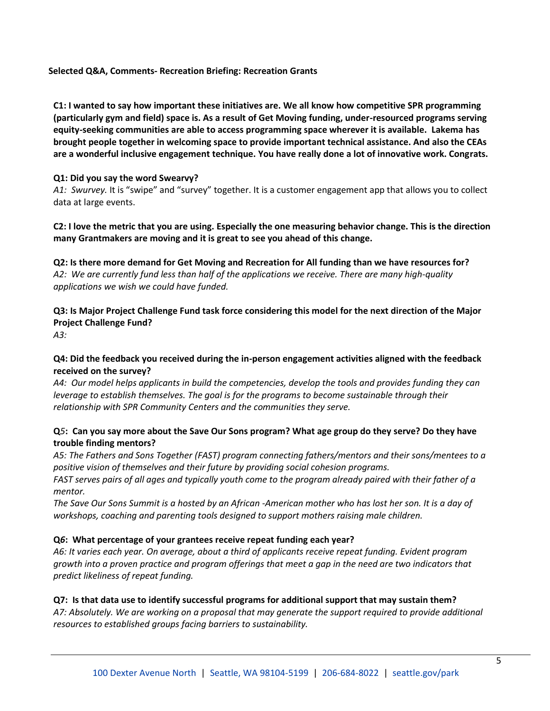# **Selected Q&A, Comments- Recreation Briefing: Recreation Grants**

**C1: I wanted to say how important these initiatives are. We all know how competitive SPR programming (particularly gym and field) space is. As a result of Get Moving funding, under-resourced programs serving equity-seeking communities are able to access programming space wherever it is available. Lakema has brought people together in welcoming space to provide important technical assistance. And also the CEAs are a wonderful inclusive engagement technique. You have really done a lot of innovative work. Congrats.** 

#### **Q1: Did you say the word Swearvy?**

*A1: Swurvey.* It is "swipe" and "survey" together. It is a customer engagement app that allows you to collect data at large events.

**C2: I love the metric that you are using. Especially the one measuring behavior change. This is the direction many Grantmakers are moving and it is great to see you ahead of this change.** 

**Q2: Is there more demand for Get Moving and Recreation for All funding than we have resources for?** *A2: We are currently fund less than half of the applications we receive. There are many high-quality applications we wish we could have funded.* 

**Q3: Is Major Project Challenge Fund task force considering this model for the next direction of the Major Project Challenge Fund?**

*A3:* 

# **Q4: Did the feedback you received during the in-person engagement activities aligned with the feedback received on the survey?**

*A4: Our model helps applicants in build the competencies, develop the tools and provides funding they can leverage to establish themselves. The goal is for the programs to become sustainable through their relationship with SPR Community Centers and the communities they serve.* 

# **Q***5***: Can you say more about the Save Our Sons program? What age group do they serve? Do they have trouble finding mentors?**

*A5: The Fathers and Sons Together (FAST) program connecting fathers/mentors and their sons/mentees to a positive vision of themselves and their future by providing social cohesion programs.* 

*FAST serves pairs of all ages and typically youth come to the program already paired with their father of a mentor.* 

*The Save Our Sons Summit is a hosted by an African -American mother who has lost her son. It is a day of workshops, coaching and parenting tools designed to support mothers raising male children.* 

# **Q***6***: What percentage of your grantees receive repeat funding each year?**

*A6: It varies each year. On average, about a third of applicants receive repeat funding. Evident program growth into a proven practice and program offerings that meet a gap in the need are two indicators that predict likeliness of repeat funding.* 

# **Q7: Is that data use to identify successful programs for additional support that may sustain them?**

*A7: Absolutely. We are working on a proposal that may generate the support required to provide additional resources to established groups facing barriers to sustainability.*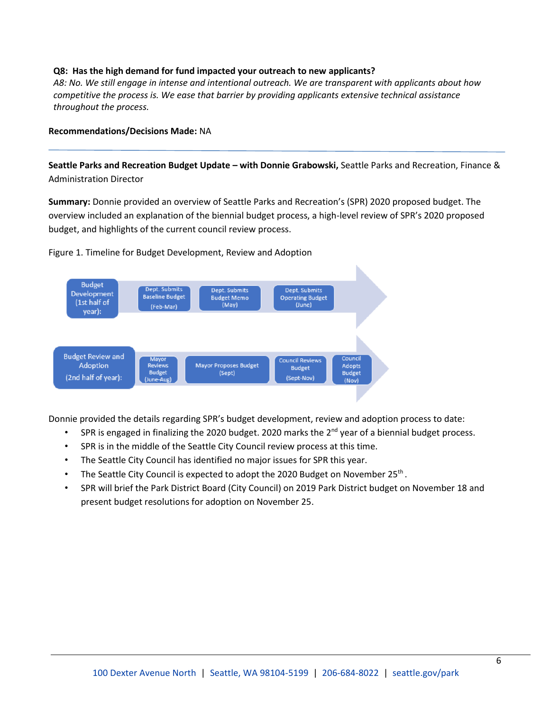### **Q8: Has the high demand for fund impacted your outreach to new applicants?**

*A8: No. We still engage in intense and intentional outreach. We are transparent with applicants about how competitive the process is. We ease that barrier by providing applicants extensive technical assistance throughout the process.* 

#### **Recommendations/Decisions Made:** NA

**Seattle Parks and Recreation Budget Update – with Donnie Grabowski,** Seattle Parks and Recreation, Finance & Administration Director

**Summary:** Donnie provided an overview of Seattle Parks and Recreation's (SPR) 2020 proposed budget. The overview included an explanation of the biennial budget process, a high-level review of SPR's 2020 proposed budget, and highlights of the current council review process.

Figure 1. Timeline for Budget Development, Review and Adoption



Donnie provided the details regarding SPR's budget development, review and adoption process to date:

- SPR is engaged in finalizing the 2020 budget. 2020 marks the 2<sup>nd</sup> year of a biennial budget process.
- SPR is in the middle of the Seattle City Council review process at this time.
- The Seattle City Council has identified no major issues for SPR this year.
- The Seattle City Council is expected to adopt the 2020 Budget on November 25<sup>th</sup>.
- SPR will brief the Park District Board (City Council) on 2019 Park District budget on November 18 and present budget resolutions for adoption on November 25.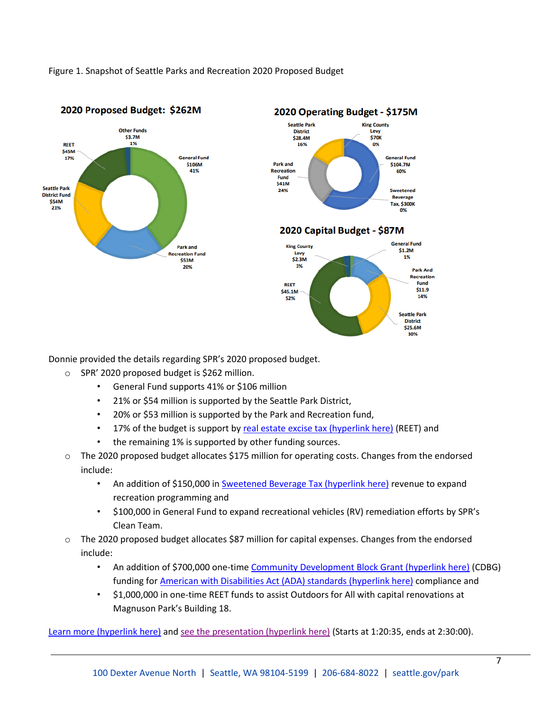Figure 1. Snapshot of Seattle Parks and Recreation 2020 Proposed Budget



#### 2020 Operating Budget - \$175M **Seattle Park King County District** Levy \$28.4M **\$70K** 16% 0% **General Fund** Park and \$104.7M Recreation 60% Eund \$41M 24% Sweetened **Beverage Tax, \$300K** 0% 2020 Capital Budget - \$87M **General Fund**



Donnie provided the details regarding SPR's 2020 proposed budget.

- o SPR' 2020 proposed budget is \$262 million.
	- General Fund supports 41% or \$106 million
	- 21% or \$54 million is supported by the Seattle Park District,
	- 20% or \$53 million is supported by the Park and Recreation fund,
	- 17% of the budget is support b[y real estate excise tax \(hyperlink here\)](https://dor.wa.gov/find-taxes-rates/other-taxes/real-estate-excise-tax) (REET) and
	- the remaining 1% is supported by other funding sources.
- o The 2020 proposed budget allocates \$175 million for operating costs. Changes from the endorsed include:
	- An addition of \$150,000 in [Sweetened Beverage Tax \(hyperlink here\)](https://dor.wa.gov/get-form-or-publication/publications-subject/tax-topics/seattle-s-sweetened-beverage-tax) revenue to expand recreation programming and
	- \$100,000 in General Fund to expand recreational vehicles (RV) remediation efforts by SPR's Clean Team.
- o The 2020 proposed budget allocates \$87 million for capital expenses. Changes from the endorsed include:
	- An addition of \$700,000 one-tim[e Community Development Block Grant \(hyperlink here\)](https://www.hudexchange.info/programs/cdbg-entitlement/) (CDBG) funding for **American with Disabilities Act (ADA)** standards (hyperlink here) compliance and
	- \$1,000,000 in one-time REET funds to assist Outdoors for All with capital renovations at Magnuson Park's Building 18.

[Learn more \(hyperlink here\)](http://www.seattle.gov/Documents/Departments/ParksAndRecreation/PDOC/Agendas/2020BudgetOverviewwcharts.pdf) and [see the presentation \(hyperlink here\)](http://www.seattlechannel.org/parksBoard/?videoid=x108053&jwsource=cl) (Starts at 1:20:35, ends at 2:30:00).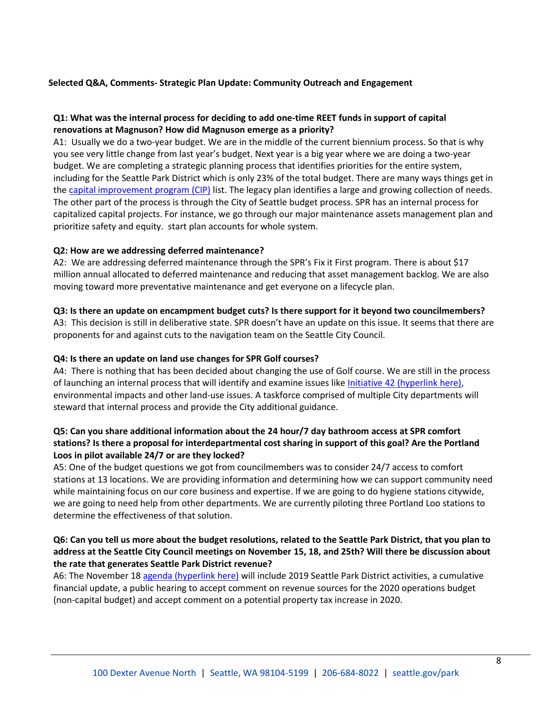# **Selected Q&A, Comments- Strategic Plan Update: Community Outreach and Engagement**

# **Q1: What was the internal process for deciding to add one-time REET funds in support of capital renovations at Magnuson? How did Magnuson emerge as a priority?**

A1: Usually we do a two-year budget. We are in the middle of the current biennium process. So that is why you see very little change from last year's budget. Next year is a big year where we are doing a two-year budget. We are completing a strategic planning process that identifies priorities for the entire system, including for the Seattle Park District which is only 23% of the total budget. There are many ways things get in the [capital improvement program \(CIP\)](https://opengov.com/article/capital-improvement-plans-101) list. The legacy plan identifies a large and growing collection of needs. The other part of the process is through the City of Seattle budget process. SPR has an internal process for capitalized capital projects. For instance, we go through our major maintenance assets management plan and prioritize safety and equity. start plan accounts for whole system.

### **Q2: How are we addressing deferred maintenance?**

A2: We are addressing deferred maintenance through the SPR's Fix it First program. There is about \$17 million annual allocated to deferred maintenance and reducing that asset management backlog. We are also moving toward more preventative maintenance and get everyone on a lifecycle plan.

# **Q3: Is there an update on encampment budget cuts? Is there support for it beyond two councilmembers?**

A3: This decision is still in deliberative state. SPR doesn't have an update on this issue. It seems that there are proponents for and against cuts to the navigation team on the Seattle City Council.

# **Q4: Is there an update on land use changes for SPR Golf courses?**

A4: There is nothing that has been decided about changing the use of Golf course. We are still in the process of launching an internal process that will identify and examine issues like [Initiative 42 \(hyperlink here\),](http://clerk.seattle.gov/search/results?s1=&s3=&s4=118477&s2=&s5=&Sect4=AND&l=20&Sect2=THESON&Sect3=PLURON&Sect5=CBORY&Sect6=HITOFF&d=ORDF&p=1&u=%2F~public%2Fcbory.htm&r=1&f=G) environmental impacts and other land-use issues. A taskforce comprised of multiple City departments will steward that internal process and provide the City additional guidance.

# **Q5: Can you share additional information about the 24 hour/7 day bathroom access at SPR comfort stations? Is there a proposal for interdepartmental cost sharing in support of this goal? Are the Portland Loos in pilot available 24/7 or are they locked?**

A5: One of the budget questions we got from councilmembers was to consider 24/7 access to comfort stations at 13 locations. We are providing information and determining how we can support community need while maintaining focus on our core business and expertise. If we are going to do hygiene stations citywide, we are going to need help from other departments. We are currently piloting three Portland Loo stations to determine the effectiveness of that solution.

# **Q6: Can you tell us more about the budget resolutions, related to the Seattle Park District, that you plan to address at the Seattle City Council meetings on November 15, 18, and 25th? Will there be discussion about the rate that generates Seattle Park District revenue?**

A6: The November 18 [agenda \(hyperlink here\)](http://www.seattle.gov/Documents/Departments/ParkDistrict/111819agenda.pdf) will include 2019 Seattle Park District activities, a cumulative financial update, a public hearing to accept comment on revenue sources for the 2020 operations budget (non-capital budget) and accept comment on a potential property tax increase in 2020.